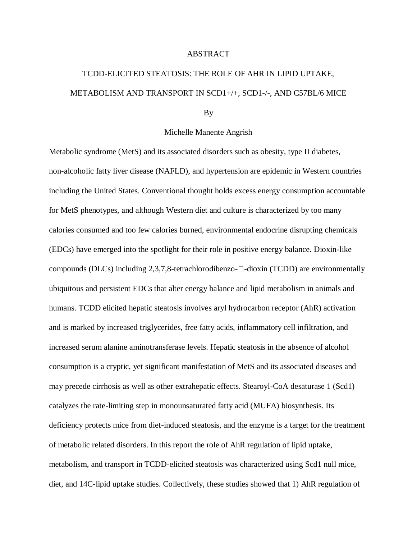## ABSTRACT

## TCDD-ELICITED STEATOSIS: THE ROLE OF AHR IN LIPID UPTAKE, METABOLISM AND TRANSPORT IN SCD1+/+, SCD1-/-, AND C57BL/6 MICE

## By

## Michelle Manente Angrish

Metabolic syndrome (MetS) and its associated disorders such as obesity, type II diabetes, non-alcoholic fatty liver disease (NAFLD), and hypertension are epidemic in Western countries including the United States. Conventional thought holds excess energy consumption accountable for MetS phenotypes, and although Western diet and culture is characterized by too many calories consumed and too few calories burned, environmental endocrine disrupting chemicals (EDCs) have emerged into the spotlight for their role in positive energy balance. Dioxin-like compounds (DLCs) including  $2,3,7,8$ -tetrachlorodibenzo- $\Box$ -dioxin (TCDD) are environmentally ubiquitous and persistent EDCs that alter energy balance and lipid metabolism in animals and humans. TCDD elicited hepatic steatosis involves aryl hydrocarbon receptor (AhR) activation and is marked by increased triglycerides, free fatty acids, inflammatory cell infiltration, and increased serum alanine aminotransferase levels. Hepatic steatosis in the absence of alcohol consumption is a cryptic, yet significant manifestation of MetS and its associated diseases and may precede cirrhosis as well as other extrahepatic effects. Stearoyl-CoA desaturase 1 (Scd1) catalyzes the rate-limiting step in monounsaturated fatty acid (MUFA) biosynthesis. Its deficiency protects mice from diet-induced steatosis, and the enzyme is a target for the treatment of metabolic related disorders. In this report the role of AhR regulation of lipid uptake, metabolism, and transport in TCDD-elicited steatosis was characterized using Scd1 null mice, diet, and 14C-lipid uptake studies. Collectively, these studies showed that 1) AhR regulation of